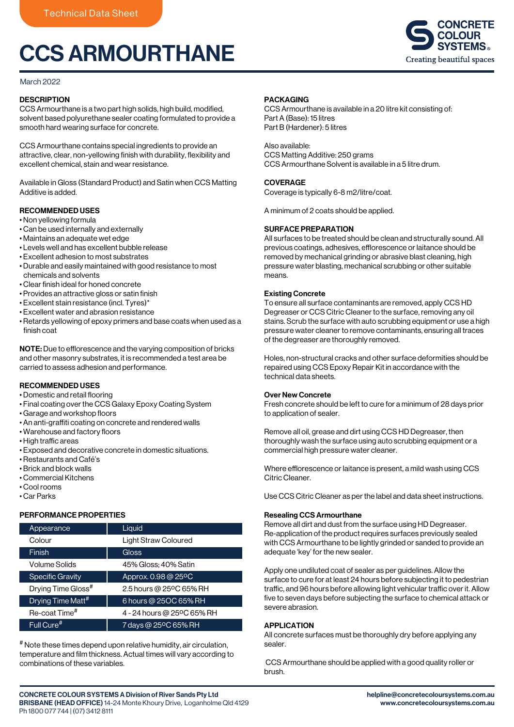# CCS ARMOURTHANE



### March 2022

# **DESCRIPTION**

CCS Armourthane is a two part high solids, high build, modified, solvent based polyurethane sealer coating formulated to provide a smooth hard wearing surface for concrete.

CCS Armourthane contains special ingredients to provide an attractive, clear, non-yellowing finish with durability, flexibility and excellent chemical, stain and wear resistance.

Available in Gloss (Standard Product) and Satin when CCS Matting Additive is added.

# RECOMMENDED USES

- Non yellowing formula
- Can be used internally and externally
- Maintains an adequate wet edge
- Levels well and has excellent bubble release
- Excellent adhesion to most substrates
- Durable and easily maintained with good resistance to most chemicals and solvents
- Clear finish ideal for honed concrete
- Provides an attractive gloss or satin finish
- Excellent stain resistance (incl. Tyres)\*
- Excellent water and abrasion resistance
- Retards yellowing of epoxy primers and base coats when used as a finish coat

NOTE: Due to efflorescence and the varying composition of bricks and other masonry substrates, it is recommended a test area be carried to assess adhesion and performance.

# RECOMMENDED USES

- Domestic and retail flooring
- Final coating over the CCS Galaxy Epoxy Coating System
- Garage and workshop floors
- An anti-graffiti coating on concrete and rendered walls
- Warehouse and factory floors
- High traffic areas
- Exposed and decorative concrete in domestic situations.
- Restaurants and Café's
- Brick and block walls
- Commercial Kitchens
- Cool rooms • Car Parks

# PERFORMANCE PROPERTIES

| Appearance                     | Liquid                     |
|--------------------------------|----------------------------|
| Colour                         | Light Straw Coloured       |
| Finish                         | Gloss                      |
| Volume Solids                  | 45% Gloss: 40% Satin       |
| <b>Specific Gravity</b>        | Approx. 0.98 @ 25°C        |
| Drying Time Gloss <sup>#</sup> | 2.5 hours @ 25°C 65% RH    |
| Drying Time Matt#              | 6 hours @ 25OC 65% RH      |
| Re-coat Time <sup>#</sup>      | 4 - 24 hours @ 25°C 65% RH |
| Full Cure <sup>#</sup>         | 7 days @ 25°C 65% RH       |

# Note these times depend upon relative humidity, air circulation, temperature and film thickness. Actual times will vary according to combinations of these variables.

### PACKAGING

CCS Armourthane is available in a 20 litre kit consisting of: Part A (Base): 15 litres Part B (Hardener): 5 litres

Also available: CCS Matting Additive: 250 grams CCS Armourthane Solvent is available in a 5 litre drum.

### **COVERAGE**

Coverage is typically 6-8 m2/litre/coat.

A minimum of 2 coats should be applied.

#### SURFACE PREPARATION

All surfaces to be treated should be clean and structurally sound. All previous coatings, adhesives, efflorescence or laitance should be removed by mechanical grinding or abrasive blast cleaning, high pressure water blasting, mechanical scrubbing or other suitable means.

### Existing Concrete

To ensure all surface contaminants are removed, apply CCS HD Degreaser or CCS Citric Cleaner to the surface, removing any oil stains. Scrub the surface with auto scrubbing equipment or use a high pressure water cleaner to remove contaminants, ensuring all traces of the degreaser are thoroughly removed.

Holes, non-structural cracks and other surface deformities should be repaired using CCS Epoxy Repair Kit in accordance with the technical data sheets.

### Over New Concrete

Fresh concrete should be left to cure for a minimum of 28 days prior to application of sealer.

Remove all oil, grease and dirt using CCS HD Degreaser, then thoroughly wash the surface using auto scrubbing equipment or a commercial high pressure water cleaner.

Where efflorescence or laitance is present, a mild wash using CCS Citric Cleaner.

Use CCS Citric Cleaner as per the label and data sheet instructions.

### Resealing CCS Armourthane

Remove all dirt and dust from the surface using HD Degreaser. Re-application of the product requires surfaces previously sealed with CCS Armourthane to be lightly grinded or sanded to provide an adequate 'key' for the new sealer.

Apply one undiluted coat of sealer as per guidelines. Allow the surface to cure for at least 24 hours before subjecting it to pedestrian traffic, and 96 hours before allowing light vehicular traffic over it. Allow five to seven days before subjecting the surface to chemical attack or severe abrasion.

#### APPLICATION

All concrete surfaces must be thoroughly dry before applying any sealer.

 CCS Armourthane should be applied with a good quality roller or brush.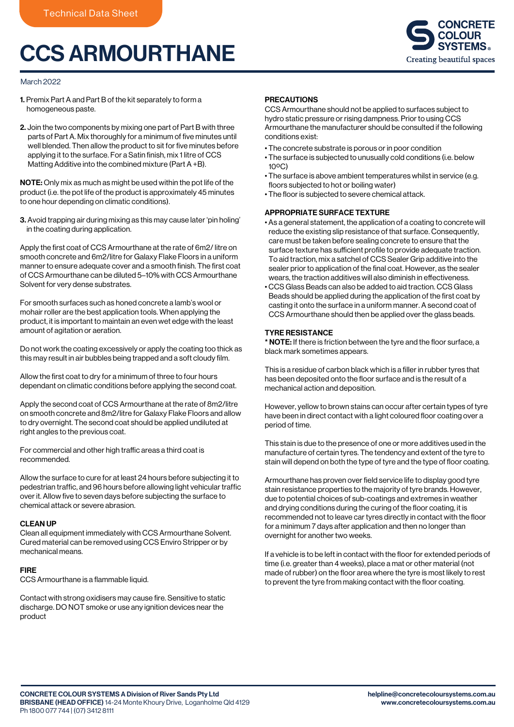# CCS ARMOURTHANE



# March 2022

- 1. Premix Part A and Part B of the kit separately to form a homogeneous paste.
- 2. Join the two components by mixing one part of Part B with three parts of Part A. Mix thoroughly for a minimum of five minutes until well blended. Then allow the product to sit for five minutes before applying it to the surface. For a Satin finish, mix 1 litre of CCS Matting Additive into the combined mixture (Part A +B).

NOTE: Only mix as much as might be used within the pot life of the product (i.e. the pot life of the product is approximately 45 minutes to one hour depending on climatic conditions).

3. Avoid trapping air during mixing as this may cause later 'pin holing' in the coating during application.

Apply the first coat of CCS Armourthane at the rate of 6m2/ litre on smooth concrete and 6m2/litre for Galaxy Flake Floors in a uniform manner to ensure adequate cover and a smooth finish. The first coat of CCS Armourthane can be diluted 5–10% with CCS Armourthane Solvent for very dense substrates.

For smooth surfaces such as honed concrete a lamb's wool or mohair roller are the best application tools. When applying the product, it is important to maintain an even wet edge with the least amount of agitation or aeration.

Do not work the coating excessively or apply the coating too thick as this may result in air bubbles being trapped and a soft cloudy film.

Allow the first coat to dry for a minimum of three to four hours dependant on climatic conditions before applying the second coat.

Apply the second coat of CCS Armourthane at the rate of 8m2/litre on smooth concrete and 8m2/litre for Galaxy Flake Floors and allow to dry overnight. The second coat should be applied undiluted at right angles to the previous coat.

For commercial and other high traffic areas a third coat is recommended.

Allow the surface to cure for at least 24 hours before subjecting it to pedestrian traffic, and 96 hours before allowing light vehicular traffic over it. Allow five to seven days before subjecting the surface to chemical attack or severe abrasion.

### CLEAN UP

Clean all equipment immediately with CCS Armourthane Solvent. Cured material can be removed using CCS Enviro Stripper or by mechanical means.

### FIRE

CCS Armourthane is a flammable liquid.

Contact with strong oxidisers may cause fire. Sensitive to static discharge. DO NOT smoke or use any ignition devices near the product

### PRECAUTIONS

CCS Armourthane should not be applied to surfaces subject to hydro static pressure or rising dampness. Prior to using CCS Armourthane the manufacturer should be consulted if the following conditions exist:

- The concrete substrate is porous or in poor condition
- The surface is subjected to unusually cold conditions (i.e. below 10ºC)
- The surface is above ambient temperatures whilst in service (e.g. floors subjected to hot or boiling water)
- The floor is subjected to severe chemical attack.

### APPROPRIATE SURFACE TEXTURE

- As a general statement, the application of a coating to concrete will reduce the existing slip resistance of that surface. Consequently, care must be taken before sealing concrete to ensure that the surface texture has sufficient profile to provide adequate traction. To aid traction, mix a satchel of CCS Sealer Grip additive into the sealer prior to application of the final coat. However, as the sealer wears, the traction additives will also diminish in effectiveness.
- CCS Glass Beads can also be added to aid traction. CCS Glass Beads should be applied during the application of the first coat by casting it onto the surface in a uniform manner. A second coat of CCS Armourthane should then be applied over the glass beads.

# TYRE RESISTANCE

\* NOTE: If there is friction between the tyre and the floor surface, a black mark sometimes appears.

This is a residue of carbon black which is a filler in rubber tyres that has been deposited onto the floor surface and is the result of a mechanical action and deposition.

However, yellow to brown stains can occur after certain types of tyre have been in direct contact with a light coloured floor coating over a period of time.

This stain is due to the presence of one or more additives used in the manufacture of certain tyres. The tendency and extent of the tyre to stain will depend on both the type of tyre and the type of floor coating.

Armourthane has proven over field service life to display good tyre stain resistance properties to the majority of tyre brands. However, due to potential choices of sub-coatings and extremes in weather and drying conditions during the curing of the floor coating, it is recommended not to leave car tyres directly in contact with the floor for a minimum 7 days after application and then no longer than overnight for another two weeks.

If a vehicle is to be left in contact with the floor for extended periods of time (i.e. greater than 4 weeks), place a mat or other material (not made of rubber) on the floor area where the tyre is most likely to rest to prevent the tyre from making contact with the floor coating.